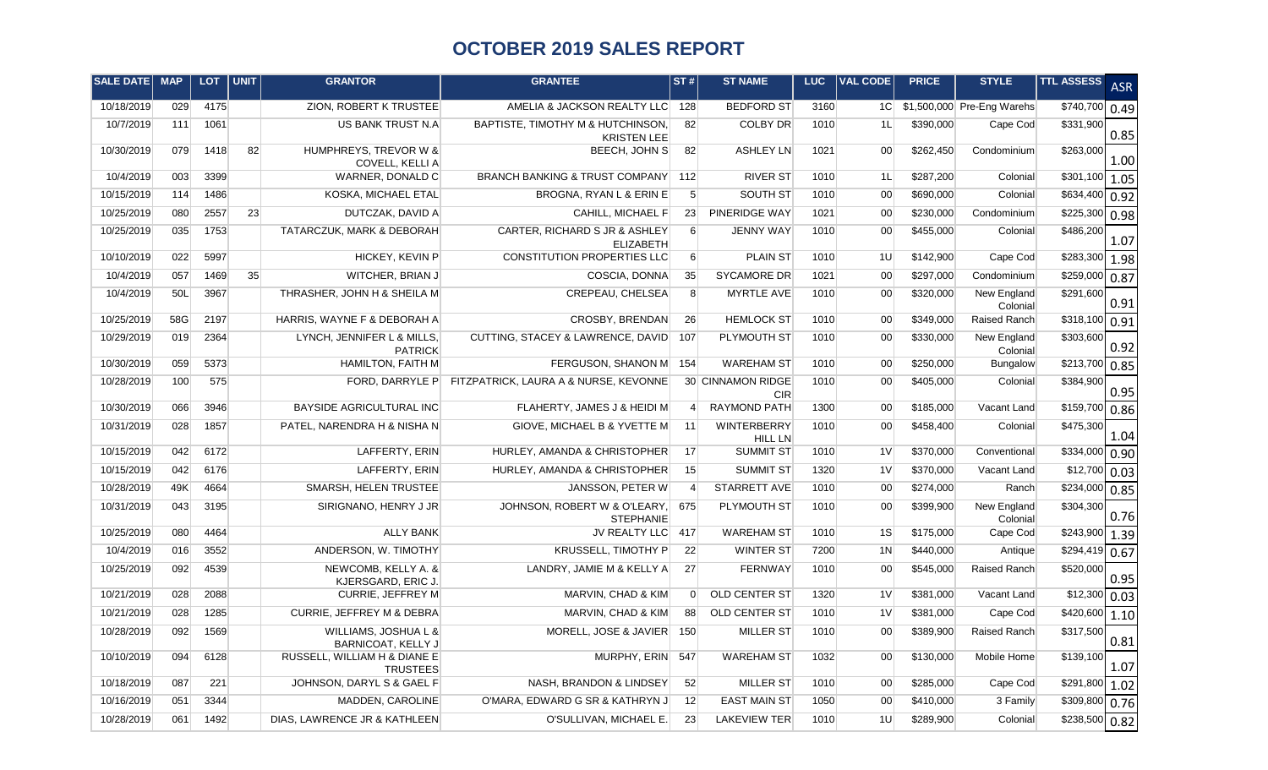## **OCTOBER 2019 SALES REPORT**

| <b>SALE DATE</b> | <b>MAP</b> | <b>LOT</b> | <b>UNIT</b> | <b>GRANTOR</b>                                  | <b>GRANTEE</b>                                          | ST#l             | <b>ST NAME</b>                  | LUC. | <b>VAL CODE</b> | <b>PRICE</b> | <b>STYLE</b>                  | <b>TTL ASSESS</b>          | <b>ASR</b> |
|------------------|------------|------------|-------------|-------------------------------------------------|---------------------------------------------------------|------------------|---------------------------------|------|-----------------|--------------|-------------------------------|----------------------------|------------|
| 10/18/2019       | 029        | 4175       |             | ZION, ROBERT K TRUSTEE                          | AMELIA & JACKSON REALTY LLC 128                         |                  | <b>BEDFORD ST</b>               | 3160 |                 |              | 1C \$1,500,000 Pre-Eng Warehs | \$740,700 0.49             |            |
| 10/7/2019        | 111        | 1061       |             | US BANK TRUST N.A                               | BAPTISTE, TIMOTHY M & HUTCHINSON,<br><b>KRISTEN LEE</b> | 82               | <b>COLBY DR</b>                 | 1010 | 1L              | \$390,000    | Cape Cod                      | \$331,900                  | 0.85       |
| 10/30/2019       | 079        | 1418       | 82          | HUMPHREYS, TREVOR W &<br><b>COVELL, KELLI A</b> | BEECH, JOHN S                                           | 82               | <b>ASHLEY LN</b>                | 1021 | 00 <sup>1</sup> | \$262,450    | Condominium                   | \$263,000                  | 1.00       |
| 10/4/2019        | 003        | 3399       |             | WARNER, DONALD C                                | BRANCH BANKING & TRUST COMPANY 112                      |                  | <b>RIVER ST</b>                 | 1010 | 1L              | \$287,200    | Colonial                      | $\sqrt{$301,100}$ 1.05     |            |
| 10/15/2019       | 114        | 1486       |             | <b>KOSKA, MICHAEL ETAL</b>                      | BROGNA, RYAN L & ERIN E                                 | $5\overline{)}$  | SOUTH ST                        | 1010 | 00 <sup>1</sup> | \$690,000    | Colonial                      | \$634,400 0.92             |            |
| 10/25/2019       | 080        | 2557       | 23          | DUTCZAK, DAVID A                                | CAHILL, MICHAEL F                                       | 23               | PINERIDGE WAY                   | 1021 | 00 <sup>1</sup> | \$230,000    | Condominium                   | \$225,300                  | 0.98       |
| 10/25/2019       | 035        | 1753       |             | TATARCZUK, MARK & DEBORAH                       | CARTER, RICHARD S JR & ASHLEY<br><b>ELIZABETH</b>       | $6 \overline{6}$ | JENNY WAY                       | 1010 | 00 <sup>1</sup> | \$455,000    | Colonial                      | \$486,200                  | 1.07       |
| 10/10/2019       | 022        | 5997       |             | HICKEY, KEVIN P                                 | CONSTITUTION PROPERTIES LLC                             | $6 \overline{6}$ | <b>PLAIN ST</b>                 | 1010 | 1U              | \$142,900    | Cape Cod                      | $$283,300$ 1.98            |            |
| 10/4/2019        | 057        | 1469       | 35          | WITCHER, BRIAN J                                | COSCIA, DONNA                                           | 35               | <b>SYCAMORE DR</b>              | 1021 | 00 <sup>1</sup> | \$297,000    | Condominium                   | \$259,000                  | 0.87       |
| 10/4/2019        | 50L        | 3967       |             | THRASHER, JOHN H & SHEILA M                     | CREPEAU, CHELSEA                                        | 8 <sup>°</sup>   | <b>MYRTLE AVE</b>               | 1010 | 00 <sup>1</sup> | \$320,000    | New England<br>Colonial       | \$291,600                  | 0.91       |
| 10/25/2019       | 58G        | 2197       |             | HARRIS, WAYNE F & DEBORAH A                     | CROSBY, BRENDAN                                         | 26               | <b>HEMLOCK ST</b>               | 1010 | 00 <sup>1</sup> | \$349,000    | Raised Ranch                  | \$318,100 0.91             |            |
| 10/29/2019       | 019        | 2364       |             | LYNCH, JENNIFER L & MILLS,<br><b>PATRICK</b>    | CUTTING, STACEY & LAWRENCE, DAVID                       | 107              | PLYMOUTH ST                     | 1010 | 00 <sup>1</sup> | \$330,000    | New England<br>Colonial       | \$303,600                  | 0.92       |
| 10/30/2019       | 059        | 5373       |             | <b>HAMILTON, FAITH M</b>                        | FERGUSON, SHANON M                                      | 154              | <b>WAREHAM ST</b>               | 1010 | 00 <sup>1</sup> | \$250,000    | Bungalow                      | $$213,700$ 0.85            |            |
| 10/28/2019       | 100        | 575        |             | FORD, DARRYLE P                                 | FITZPATRICK, LAURA A & NURSE, KEVONNE                   |                  | 30 CINNAMON RIDGE<br><b>CIR</b> | 1010 | 00 <sup>1</sup> | \$405,000    | Colonial                      | \$384,900                  | 0.95       |
| 10/30/2019       | 066        | 3946       |             | <b>BAYSIDE AGRICULTURAL INC</b>                 | FLAHERTY, JAMES J & HEIDI M                             | $\overline{4}$   | <b>RAYMOND PATH</b>             | 1300 | 00 <sup>1</sup> | \$185,000    | Vacant Land                   | \$159,700                  | 0.86       |
| 10/31/2019       | 028        | 1857       |             | PATEL, NARENDRA H & NISHA N                     | GIOVE, MICHAEL B & YVETTE M                             | 11               | WINTERBERRY<br><b>HILL LN</b>   | 1010 | 00 <sup>1</sup> | \$458,400    | Colonial                      | \$475,300                  | 1.04       |
| 10/15/2019       | 042        | 6172       |             | LAFFERTY, ERIN                                  | HURLEY, AMANDA & CHRISTOPHER                            | 17               | <b>SUMMIT ST</b>                | 1010 | 1 <sub>V</sub>  | \$370,000    | Conventional                  | $$334,000$ 0.90            |            |
| 10/15/2019       | 042        | 6176       |             | LAFFERTY, ERIN                                  | HURLEY, AMANDA & CHRISTOPHER                            | 15               | <b>SUMMIT ST</b>                | 1320 | 1 <sub>V</sub>  | \$370,000    | Vacant Land                   | $$12,700$ 0.03             |            |
| 10/28/2019       | 49K        | 4664       |             | SMARSH, HELEN TRUSTEE                           | JANSSON, PETER W                                        | $\overline{4}$   | <b>STARRETT AVE</b>             | 1010 | 00 <sup>1</sup> | \$274,000    | Ranch                         | \$234,000 0.85             |            |
| 10/31/2019       | 043        | 3195       |             | SIRIGNANO, HENRY J JR                           | JOHNSON, ROBERT W & O'LEARY,<br><b>STEPHANIE</b>        | 675              | PLYMOUTH ST                     | 1010 | 00 <sup>1</sup> | \$399,900    | New England<br>Colonial       | \$304,300                  | 0.76       |
| 10/25/2019       | 080        | 4464       |             | <b>ALLY BANK</b>                                | JV REALTY LLC 417                                       |                  | <b>WAREHAM ST</b>               | 1010 | 1S              | \$175,000    | Cape Cod                      | $$243,900$ 1.39            |            |
| 10/4/2019        | 016        | 3552       |             | ANDERSON, W. TIMOTHY                            | KRUSSELL, TIMOTHY P                                     | 22               | <b>WINTER ST</b>                | 7200 | 1 <sub>N</sub>  | \$440,000    | Antique                       | \$294,419                  | 0.67       |
| 10/25/2019       | 092        | 4539       |             | NEWCOMB, KELLY A. &<br>KJERSGARD, ERIC J        | LANDRY, JAMIE M & KELLY A                               | 27               | <b>FERNWAY</b>                  | 1010 | 00 <sup>1</sup> | \$545,000    | <b>Raised Ranch</b>           | \$520,000                  | 0.95       |
| 10/21/2019       | 028        | 2088       |             | <b>CURRIE, JEFFREY M</b>                        | MARVIN, CHAD & KIM                                      | $\Omega$         | OLD CENTER ST                   | 1320 | 1 <sub>V</sub>  | \$381,000    | Vacant Land                   | $$12,300$ 0.03             |            |
| 10/21/2019       | 028        | 1285       |             | CURRIE, JEFFREY M & DEBRA                       | MARVIN, CHAD & KIM                                      | 88               | <b>OLD CENTER ST</b>            | 1010 | 1 <sub>V</sub>  | \$381,000    | Cape Cod                      | \$420,600                  | 1.10       |
| 10/28/2019       | 092        | 1569       |             | WILLIAMS, JOSHUA L &<br>BARNICOAT, KELLY J      | MORELL, JOSE & JAVIER                                   | 150              | <b>MILLER ST</b>                | 1010 | 00 <sup>1</sup> | \$389,900    | <b>Raised Ranch</b>           | \$317,500                  | 0.81       |
| 10/10/2019       | 094        | 6128       |             | RUSSELL, WILLIAM H & DIANE E<br><b>TRUSTEES</b> | MURPHY, ERIN                                            | 547              | <b>WAREHAM ST</b>               | 1032 | 00 <sup>1</sup> | \$130,000    | Mobile Home                   | \$139,100                  | 1.07       |
| 10/18/2019       | 087        | 221        |             | JOHNSON, DARYL S & GAEL F                       | NASH, BRANDON & LINDSEY                                 | 52               | <b>MILLER ST</b>                | 1010 | 00 <sup>1</sup> | \$285,000    | Cape Cod                      | $$291,800$ 1.02            |            |
| 10/16/2019       | 051        | 3344       |             | MADDEN, CAROLINE                                | O'MARA, EDWARD G SR & KATHRYN J                         | 12               | <b>EAST MAIN ST</b>             | 1050 | 00 <sup>1</sup> | \$410,000    | 3 Family                      | $$309,800$ 0.76            |            |
| 10/28/2019       | 061        | 1492       |             | DIAS, LAWRENCE JR & KATHLEEN                    | O'SULLIVAN, MICHAEL E.                                  | 23               | <b>LAKEVIEW TER</b>             | 1010 | 1U              | \$289,900    | Colonial                      | $\overline{$238,500}$ 0.82 |            |